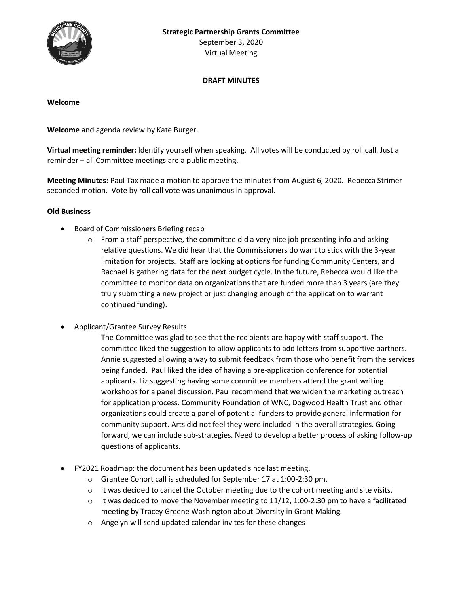September 3, 2020 Virtual Meeting

# **DRAFT MINUTES**

#### **Welcome**

**Welcome** and agenda review by Kate Burger.

**Virtual meeting reminder:** Identify yourself when speaking. All votes will be conducted by roll call. Just a reminder – all Committee meetings are a public meeting.

**Meeting Minutes:** Paul Tax made a motion to approve the minutes from August 6, 2020. Rebecca Strimer seconded motion. Vote by roll call vote was unanimous in approval.

## **Old Business**

- Board of Commissioners Briefing recap
	- $\circ$  From a staff perspective, the committee did a very nice job presenting info and asking relative questions. We did hear that the Commissioners do want to stick with the 3-year limitation for projects. Staff are looking at options for funding Community Centers, and Rachael is gathering data for the next budget cycle. In the future, Rebecca would like the committee to monitor data on organizations that are funded more than 3 years (are they truly submitting a new project or just changing enough of the application to warrant continued funding).
- Applicant/Grantee Survey Results

The Committee was glad to see that the recipients are happy with staff support. The committee liked the suggestion to allow applicants to add letters from supportive partners. Annie suggested allowing a way to submit feedback from those who benefit from the services being funded. Paul liked the idea of having a pre-application conference for potential applicants. Liz suggesting having some committee members attend the grant writing workshops for a panel discussion. Paul recommend that we widen the marketing outreach for application process. Community Foundation of WNC, Dogwood Health Trust and other organizations could create a panel of potential funders to provide general information for community support. Arts did not feel they were included in the overall strategies. Going forward, we can include sub-strategies. Need to develop a better process of asking follow-up questions of applicants.

- FY2021 Roadmap: the document has been updated since last meeting.
	- o Grantee Cohort call is scheduled for September 17 at 1:00-2:30 pm.
	- $\circ$  It was decided to cancel the October meeting due to the cohort meeting and site visits.
	- $\circ$  It was decided to move the November meeting to 11/12, 1:00-2:30 pm to have a facilitated meeting by Tracey Greene Washington about Diversity in Grant Making.
	- o Angelyn will send updated calendar invites for these changes